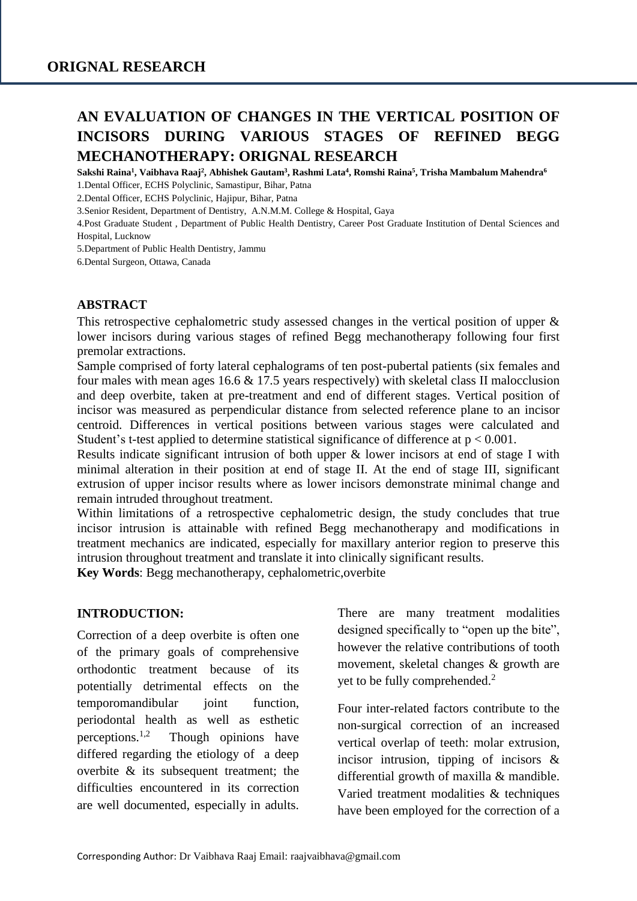# **AN EVALUATION OF CHANGES IN THE VERTICAL POSITION OF INCISORS DURING VARIOUS STAGES OF REFINED BEGG MECHANOTHERAPY: ORIGNAL RESEARCH**

**Sakshi Raina<sup>1</sup> , Vaibhava Raaj<sup>2</sup> , Abhishek Gautam<sup>3</sup> , Rashmi Lata<sup>4</sup> , Romshi Raina<sup>5</sup> , Trisha Mambalum Mahendra<sup>6</sup>**

1.Dental Officer, ECHS Polyclinic, Samastipur, Bihar, Patna

2.Dental Officer, ECHS Polyclinic, Hajipur, Bihar, Patna

3.Senior Resident, Department of Dentistry, A.N.M.M. College & Hospital, Gaya

4.Post Graduate Student , Department of Public Health Dentistry, Career Post Graduate Institution of Dental Sciences and Hospital, Lucknow

5.Department of Public Health Dentistry, Jammu

6.Dental Surgeon, Ottawa, Canada

#### **ABSTRACT**

This retrospective cephalometric study assessed changes in the vertical position of upper & lower incisors during various stages of refined Begg mechanotherapy following four first premolar extractions.

Sample comprised of forty lateral cephalograms of ten post-pubertal patients (six females and four males with mean ages 16.6 & 17.5 years respectively) with skeletal class II malocclusion and deep overbite, taken at pre-treatment and end of different stages. Vertical position of incisor was measured as perpendicular distance from selected reference plane to an incisor centroid. Differences in vertical positions between various stages were calculated and Student's t-test applied to determine statistical significance of difference at  $p < 0.001$ .

Results indicate significant intrusion of both upper & lower incisors at end of stage I with minimal alteration in their position at end of stage II. At the end of stage III, significant extrusion of upper incisor results where as lower incisors demonstrate minimal change and remain intruded throughout treatment.

Within limitations of a retrospective cephalometric design, the study concludes that true incisor intrusion is attainable with refined Begg mechanotherapy and modifications in treatment mechanics are indicated, especially for maxillary anterior region to preserve this intrusion throughout treatment and translate it into clinically significant results.

**Key Words**: Begg mechanotherapy, cephalometric,overbite

#### **INTRODUCTION:**

Correction of a deep overbite is often one of the primary goals of comprehensive orthodontic treatment because of its potentially detrimental effects on the temporomandibular joint function, periodontal health as well as esthetic perceptions.1,2 Though opinions have differed regarding the etiology of a deep overbite  $\&$  its subsequent treatment; the difficulties encountered in its correction are well documented, especially in adults.

There are many treatment modalities designed specifically to "open up the bite", however the relative contributions of tooth movement, skeletal changes & growth are yet to be fully comprehended.<sup>2</sup>

Four inter-related factors contribute to the non-surgical correction of an increased vertical overlap of teeth: molar extrusion, incisor intrusion, tipping of incisors & differential growth of maxilla & mandible. Varied treatment modalities & techniques have been employed for the correction of a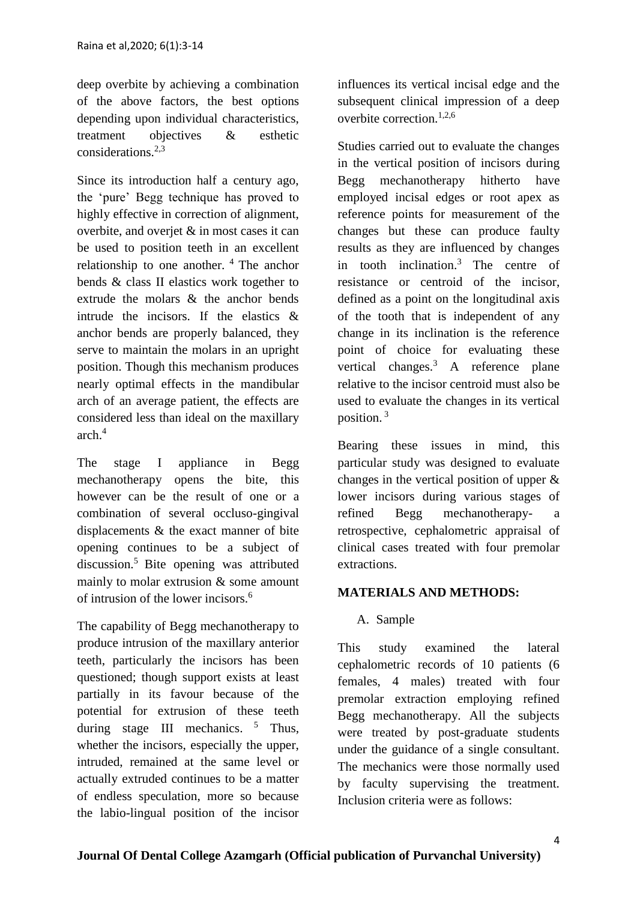deep overbite by achieving a combination of the above factors, the best options depending upon individual characteristics, treatment objectives & esthetic considerations.2,3

Since its introduction half a century ago, the 'pure' Begg technique has proved to highly effective in correction of alignment, overbite, and overjet & in most cases it can be used to position teeth in an excellent relationship to one another.  $4$  The anchor bends & class II elastics work together to extrude the molars & the anchor bends intrude the incisors. If the elastics & anchor bends are properly balanced, they serve to maintain the molars in an upright position. Though this mechanism produces nearly optimal effects in the mandibular arch of an average patient, the effects are considered less than ideal on the maxillary arch.<sup>4</sup>

The stage I appliance in Begg mechanotherapy opens the bite, this however can be the result of one or a combination of several occluso-gingival displacements & the exact manner of bite opening continues to be a subject of discussion.<sup>5</sup> Bite opening was attributed mainly to molar extrusion & some amount of intrusion of the lower incisors  $<sup>6</sup>$ </sup>

The capability of Begg mechanotherapy to produce intrusion of the maxillary anterior teeth, particularly the incisors has been questioned; though support exists at least partially in its favour because of the potential for extrusion of these teeth during stage III mechanics.  $5$  Thus, whether the incisors, especially the upper, intruded, remained at the same level or actually extruded continues to be a matter of endless speculation, more so because the labio-lingual position of the incisor influences its vertical incisal edge and the subsequent clinical impression of a deep overbite correction.1,2,6

Studies carried out to evaluate the changes in the vertical position of incisors during Begg mechanotherapy hitherto have employed incisal edges or root apex as reference points for measurement of the changes but these can produce faulty results as they are influenced by changes in tooth inclination. $3$  The centre of resistance or centroid of the incisor, defined as a point on the longitudinal axis of the tooth that is independent of any change in its inclination is the reference point of choice for evaluating these vertical changes. $3$  A reference plane relative to the incisor centroid must also be used to evaluate the changes in its vertical position. <sup>3</sup>

Bearing these issues in mind, this particular study was designed to evaluate changes in the vertical position of upper & lower incisors during various stages of refined Begg mechanotherapy- a retrospective, cephalometric appraisal of clinical cases treated with four premolar extractions.

# **MATERIALS AND METHODS:**

A. Sample

This study examined the lateral cephalometric records of 10 patients (6 females, 4 males) treated with four premolar extraction employing refined Begg mechanotherapy. All the subjects were treated by post-graduate students under the guidance of a single consultant. The mechanics were those normally used by faculty supervising the treatment. Inclusion criteria were as follows: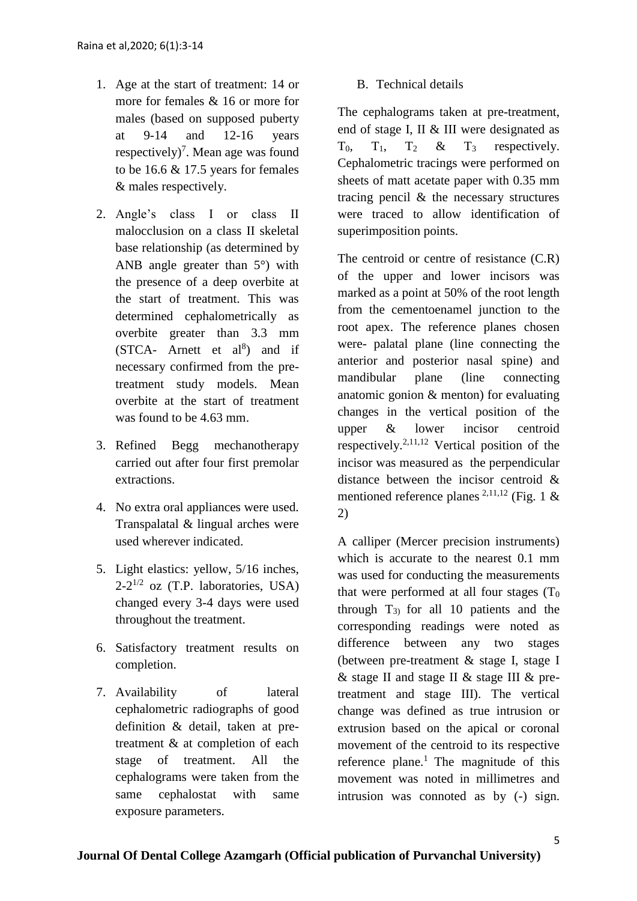- 1. Age at the start of treatment: 14 or more for females & 16 or more for males (based on supposed puberty at 9-14 and 12-16 years respectively)<sup>7</sup>. Mean age was found to be 16.6  $& 17.5$  years for females & males respectively.
- 2. Angle's class I or class II malocclusion on a class II skeletal base relationship (as determined by ANB angle greater than 5°) with the presence of a deep overbite at the start of treatment. This was determined cephalometrically as overbite greater than 3.3 mm  $(STCA-$  Arnett et al<sup>8</sup>) and if necessary confirmed from the pretreatment study models. Mean overbite at the start of treatment was found to be 4.63 mm.
- 3. Refined Begg mechanotherapy carried out after four first premolar extractions.
- 4. No extra oral appliances were used. Transpalatal & lingual arches were used wherever indicated.
- 5. Light elastics: yellow, 5/16 inches,  $2-2^{1/2}$  oz (T.P. laboratories, USA) changed every 3-4 days were used throughout the treatment.
- 6. Satisfactory treatment results on completion.
- 7. Availability of lateral cephalometric radiographs of good definition & detail, taken at pretreatment & at completion of each stage of treatment. All the cephalograms were taken from the same cephalostat with same exposure parameters.

# B. Technical details

The cephalograms taken at pre-treatment, end of stage I, II & III were designated as  $T_0$ ,  $T_1$ ,  $T_2$  &  $T_3$  respectively. Cephalometric tracings were performed on sheets of matt acetate paper with 0.35 mm tracing pencil & the necessary structures were traced to allow identification of superimposition points.

The centroid or centre of resistance  $(C.R)$ of the upper and lower incisors was marked as a point at 50% of the root length from the cementoenamel junction to the root apex. The reference planes chosen were- palatal plane (line connecting the anterior and posterior nasal spine) and mandibular plane (line connecting anatomic gonion & menton) for evaluating changes in the vertical position of the upper & lower incisor centroid respectively.<sup>2,11,12</sup> Vertical position of the incisor was measured as the perpendicular distance between the incisor centroid & mentioned reference planes <sup>2,11,12</sup> (Fig. 1 & 2)

A calliper (Mercer precision instruments) which is accurate to the nearest 0.1 mm was used for conducting the measurements that were performed at all four stages  $(T_0)$ through  $T_{3}$  for all 10 patients and the corresponding readings were noted as difference between any two stages (between pre-treatment & stage I, stage I  $\&$  stage II and stage II  $\&$  stage III  $\&$  pretreatment and stage III). The vertical change was defined as true intrusion or extrusion based on the apical or coronal movement of the centroid to its respective reference plane.<sup>1</sup> The magnitude of this movement was noted in millimetres and intrusion was connoted as by (-) sign.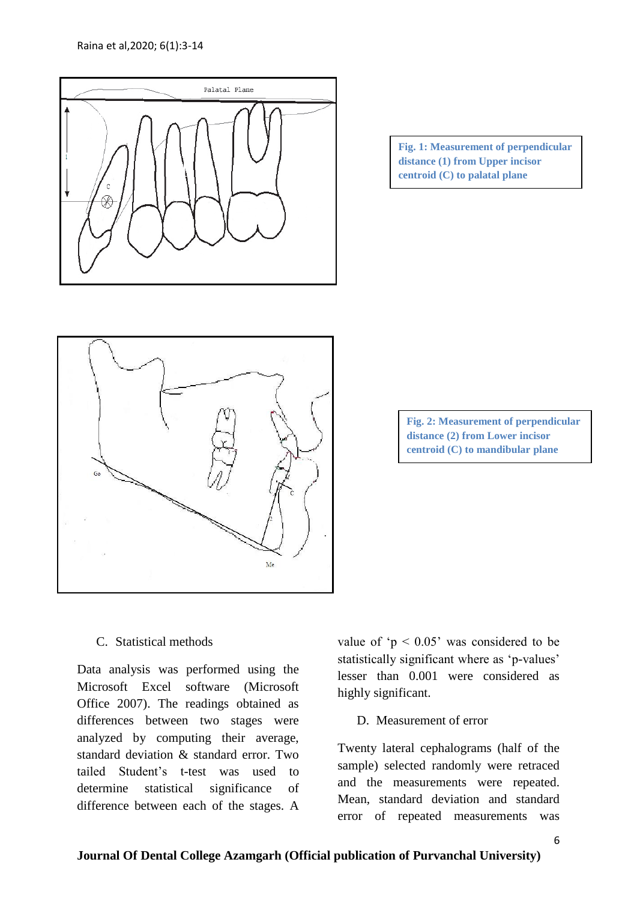

**Fig. 1: Measurement of perpendicular distance (1) from Upper incisor centroid (C) to palatal plane**



**Fig. 2: Measurement of perpendicular distance (2) from Lower incisor centroid (C) to mandibular plane**

C. Statistical methods

Data analysis was performed using the Microsoft Excel software (Microsoft Office 2007). The readings obtained as differences between two stages were analyzed by computing their average, standard deviation & standard error. Two tailed Student's t-test was used to determine statistical significance of difference between each of the stages. A

value of ' $p < 0.05$ ' was considered to be statistically significant where as 'p-values' lesser than 0.001 were considered as highly significant.

D. Measurement of error

Twenty lateral cephalograms (half of the sample) selected randomly were retraced and the measurements were repeated. Mean, standard deviation and standard error of repeated measurements was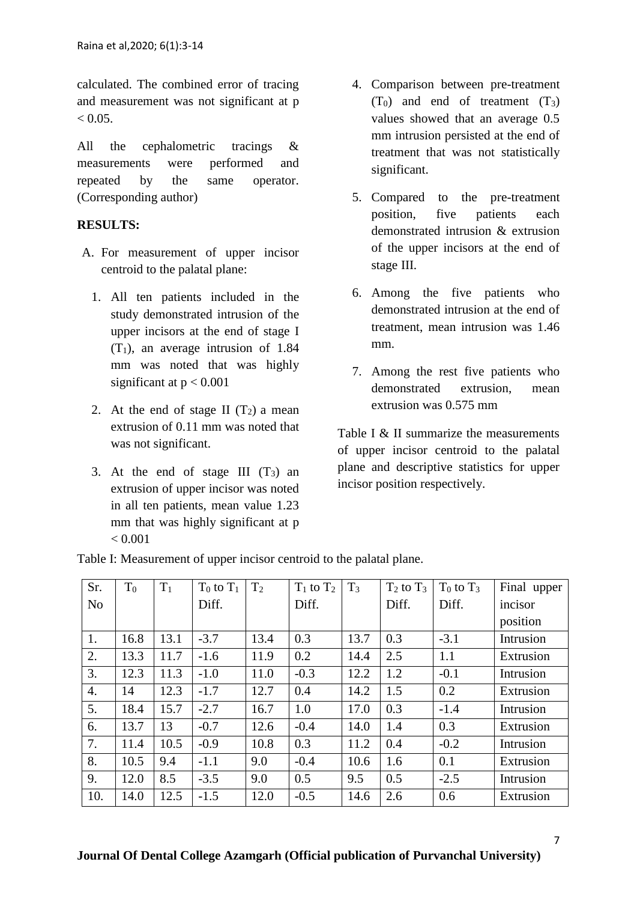calculated. The combined error of tracing and measurement was not significant at p  $< 0.05$ .

All the cephalometric tracings & measurements were performed and repeated by the same operator. (Corresponding author)

# **RESULTS:**

- A. For measurement of upper incisor centroid to the palatal plane:
	- 1. All ten patients included in the study demonstrated intrusion of the upper incisors at the end of stage I  $(T_1)$ , an average intrusion of 1.84 mm was noted that was highly significant at  $p < 0.001$
	- 2. At the end of stage II  $(T_2)$  a mean extrusion of 0.11 mm was noted that was not significant.
	- 3. At the end of stage III  $(T_3)$  and extrusion of upper incisor was noted in all ten patients, mean value 1.23 mm that was highly significant at p  $< 0.001$
- 4. Comparison between pre-treatment  $(T_0)$  and end of treatment  $(T_3)$ values showed that an average 0.5 mm intrusion persisted at the end of treatment that was not statistically significant.
- 5. Compared to the pre-treatment position, five patients each demonstrated intrusion & extrusion of the upper incisors at the end of stage III.
- 6. Among the five patients who demonstrated intrusion at the end of treatment, mean intrusion was 1.46 mm.
- 7. Among the rest five patients who demonstrated extrusion, mean extrusion was 0.575 mm

Table I & II summarize the measurements of upper incisor centroid to the palatal plane and descriptive statistics for upper incisor position respectively.

| Sr.            | $T_0$ | $T_1$ | $T_0$ to $T_1$ | T <sub>2</sub> | $T_1$ to $T_2$ | $T_3$ | $T_2$ to $T_3$ | $T_0$ to $T_3$ | Final upper |
|----------------|-------|-------|----------------|----------------|----------------|-------|----------------|----------------|-------------|
| N <sub>o</sub> |       |       | Diff.          |                | Diff.          |       | Diff.          | Diff.          | incisor     |
|                |       |       |                |                |                |       |                |                | position    |
| 1.             | 16.8  | 13.1  | $-3.7$         | 13.4           | 0.3            | 13.7  | 0.3            | $-3.1$         | Intrusion   |
| 2.             | 13.3  | 11.7  | $-1.6$         | 11.9           | 0.2            | 14.4  | 2.5            | 1.1            | Extrusion   |
| 3.             | 12.3  | 11.3  | $-1.0$         | 11.0           | $-0.3$         | 12.2  | 1.2            | $-0.1$         | Intrusion   |
| 4.             | 14    | 12.3  | $-1.7$         | 12.7           | 0.4            | 14.2  | 1.5            | 0.2            | Extrusion   |
| 5.             | 18.4  | 15.7  | $-2.7$         | 16.7           | 1.0            | 17.0  | 0.3            | $-1.4$         | Intrusion   |
| 6.             | 13.7  | 13    | $-0.7$         | 12.6           | $-0.4$         | 14.0  | 1.4            | 0.3            | Extrusion   |
| 7.             | 11.4  | 10.5  | $-0.9$         | 10.8           | 0.3            | 11.2  | 0.4            | $-0.2$         | Intrusion   |
| 8.             | 10.5  | 9.4   | $-1.1$         | 9.0            | $-0.4$         | 10.6  | 1.6            | 0.1            | Extrusion   |
| 9.             | 12.0  | 8.5   | $-3.5$         | 9.0            | 0.5            | 9.5   | 0.5            | $-2.5$         | Intrusion   |
| 10.            | 14.0  | 12.5  | $-1.5$         | 12.0           | $-0.5$         | 14.6  | 2.6            | 0.6            | Extrusion   |

Table I: Measurement of upper incisor centroid to the palatal plane.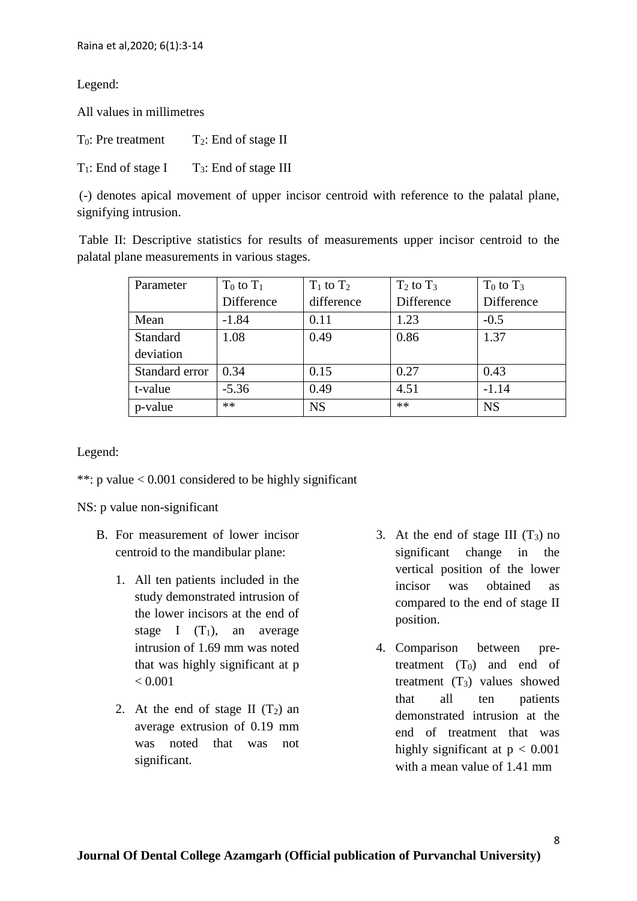# Legend:

All values in millimetres

| $T_0$ : Pre treatment  | $T_2$ : End of stage II  |
|------------------------|--------------------------|
| $T_1$ : End of stage I | $T_3$ : End of stage III |

(-) denotes apical movement of upper incisor centroid with reference to the palatal plane, signifying intrusion.

Table II: Descriptive statistics for results of measurements upper incisor centroid to the palatal plane measurements in various stages.

| Parameter      | $T_0$ to $T_1$ | $T_1$ to $T_2$ | $T_2$ to $T_3$ | $T_0$ to $T_3$ |
|----------------|----------------|----------------|----------------|----------------|
|                | Difference     | difference     | Difference     | Difference     |
| Mean           | $-1.84$        | 0.11           | 1.23           | $-0.5$         |
| Standard       | 1.08           | 0.49           | 0.86           | 1.37           |
| deviation      |                |                |                |                |
| Standard error | 0.34           | 0.15           | 0.27           | 0.43           |
| t-value        | $-5.36$        | 0.49           | 4.51           | $-1.14$        |
| p-value        | $**$           | <b>NS</b>      | $**$           | <b>NS</b>      |

Legend:

\*\*: p value < 0.001 considered to be highly significant

NS: p value non-significant

- B. For measurement of lower incisor centroid to the mandibular plane:
	- 1. All ten patients included in the study demonstrated intrusion of the lower incisors at the end of stage I  $(T_1)$ , an average intrusion of 1.69 mm was noted that was highly significant at p  $< 0.001$
	- 2. At the end of stage II  $(T_2)$  and average extrusion of 0.19 mm was noted that was not significant.
- 3. At the end of stage III  $(T_3)$  no significant change in the vertical position of the lower incisor was obtained as compared to the end of stage II position.
- 4. Comparison between pretreatment  $(T_0)$  and end of treatment  $(T_3)$  values showed that all ten patients demonstrated intrusion at the end of treatment that was highly significant at  $p < 0.001$ with a mean value of 1.41 mm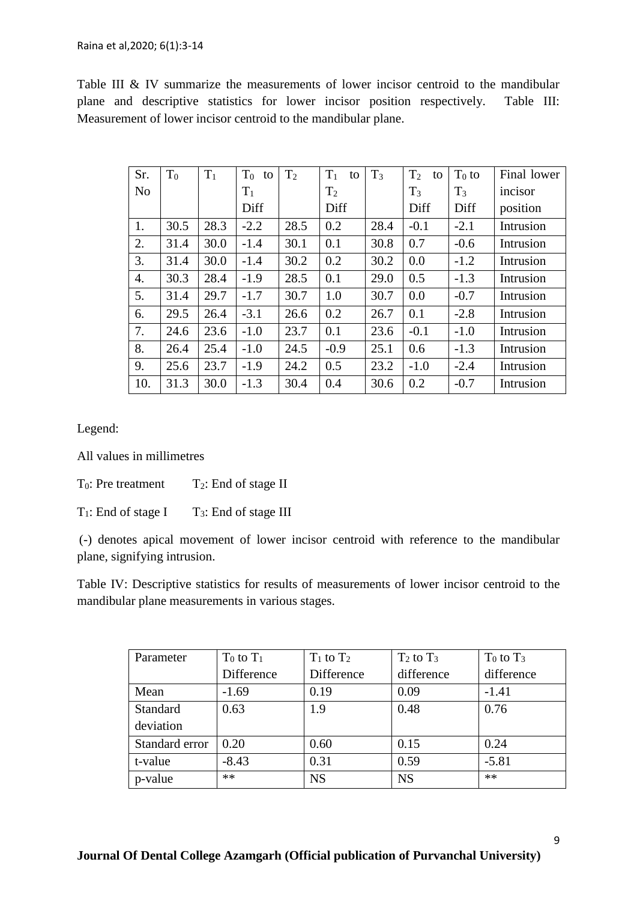#### Raina et al,2020; 6(1):3-14

Table III & IV summarize the measurements of lower incisor centroid to the mandibular plane and descriptive statistics for lower incisor position respectively. Table III: Measurement of lower incisor centroid to the mandibular plane.

| Sr.            | $T_0$ | $T_1$ | $T_0$ to | T <sub>2</sub> | $T_1$<br>to    | $T_3$ | $T_2$<br>to | $T_0$ to | Final lower |
|----------------|-------|-------|----------|----------------|----------------|-------|-------------|----------|-------------|
| N <sub>o</sub> |       |       | $T_1$    |                | T <sub>2</sub> |       | $T_3$       | $T_3$    | incisor     |
|                |       |       | Diff     |                | Diff           |       | Diff        | Diff     | position    |
| 1.             | 30.5  | 28.3  | $-2.2$   | 28.5           | 0.2            | 28.4  | $-0.1$      | $-2.1$   | Intrusion   |
| 2.             | 31.4  | 30.0  | $-1.4$   | 30.1           | 0.1            | 30.8  | 0.7         | $-0.6$   | Intrusion   |
| 3.             | 31.4  | 30.0  | $-1.4$   | 30.2           | 0.2            | 30.2  | 0.0         | $-1.2$   | Intrusion   |
| 4.             | 30.3  | 28.4  | $-1.9$   | 28.5           | 0.1            | 29.0  | 0.5         | $-1.3$   | Intrusion   |
| 5.             | 31.4  | 29.7  | $-1.7$   | 30.7           | 1.0            | 30.7  | 0.0         | $-0.7$   | Intrusion   |
| 6.             | 29.5  | 26.4  | $-3.1$   | 26.6           | 0.2            | 26.7  | 0.1         | $-2.8$   | Intrusion   |
| 7.             | 24.6  | 23.6  | $-1.0$   | 23.7           | 0.1            | 23.6  | $-0.1$      | $-1.0$   | Intrusion   |
| 8.             | 26.4  | 25.4  | $-1.0$   | 24.5           | $-0.9$         | 25.1  | 0.6         | $-1.3$   | Intrusion   |
| 9.             | 25.6  | 23.7  | $-1.9$   | 24.2           | 0.5            | 23.2  | $-1.0$      | $-2.4$   | Intrusion   |
| 10.            | 31.3  | 30.0  | $-1.3$   | 30.4           | 0.4            | 30.6  | 0.2         | $-0.7$   | Intrusion   |

Legend:

All values in millimetres

 $T_0$ : Pre treatment  $T_2$ : End of stage II

 $T_1$ : End of stage I  $T_3$ : End of stage III

(-) denotes apical movement of lower incisor centroid with reference to the mandibular plane, signifying intrusion.

Table IV: Descriptive statistics for results of measurements of lower incisor centroid to the mandibular plane measurements in various stages.

| Parameter      | $T_0$ to $T_1$ | $T_1$ to $T_2$ | $T_2$ to $T_3$ | $T_0$ to $T_3$ |
|----------------|----------------|----------------|----------------|----------------|
|                | Difference     | Difference     | difference     | difference     |
| Mean           | $-1.69$        | 0.19           | 0.09           | $-1.41$        |
| Standard       | 0.63           | 1.9            | 0.48           | 0.76           |
| deviation      |                |                |                |                |
| Standard error | 0.20           | 0.60           | 0.15           | 0.24           |
| t-value        | $-8.43$        | 0.31           | 0.59           | $-5.81$        |
| p-value        | **             | <b>NS</b>      | <b>NS</b>      | **             |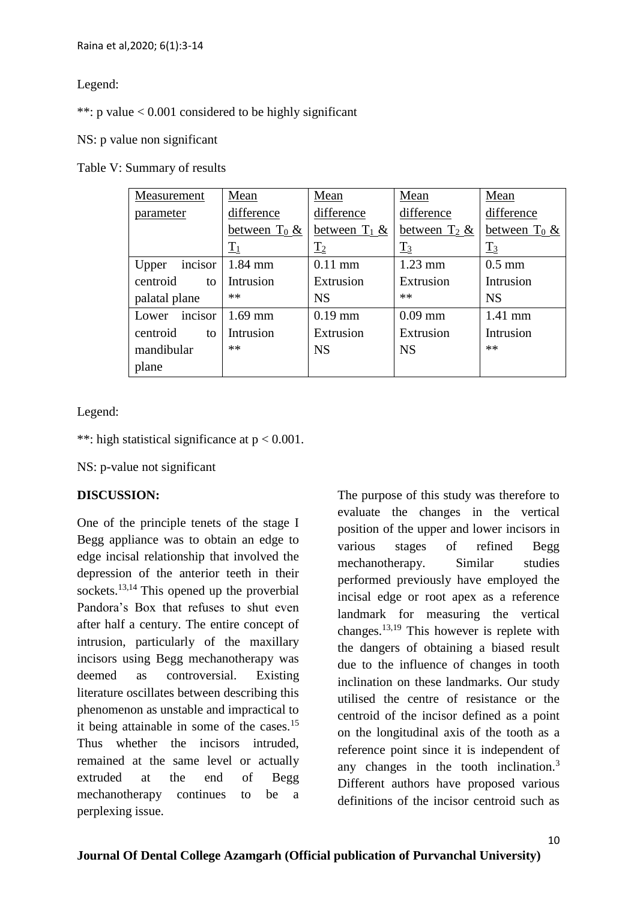### Legend:

\*\*: p value  $< 0.001$  considered to be highly significant

### NS: p value non significant

#### Table V: Summary of results

| Measurement      | Mean            | Mean            | Mean            | Mean            |
|------------------|-----------------|-----------------|-----------------|-----------------|
| parameter        | difference      | difference      | difference      | difference      |
|                  | between $T_0$ & | between $T_1$ & | between $T_2$ & | between $T_0$ & |
|                  | $\mathrm{T}_1$  | $T_2$           | $T_3$           | $T_3$           |
| incisor<br>Upper | $1.84$ mm       | $0.11$ mm       | $1.23$ mm       | $0.5$ mm        |
| centroid<br>to   | Intrusion       | Extrusion       | Extrusion       | Intrusion       |
| palatal plane    | $**$            | <b>NS</b>       | **              | <b>NS</b>       |
| incisor<br>Lower | $1.69$ mm       | $0.19$ mm       | $0.09$ mm       | $1.41$ mm       |
| centroid<br>to   | Intrusion       | Extrusion       | Extrusion       | Intrusion       |
| mandibular       | **              | <b>NS</b>       | <b>NS</b>       | $**$            |
| plane            |                 |                 |                 |                 |

### Legend:

\*\*: high statistical significance at  $p < 0.001$ .

NS: p-value not significant

# **DISCUSSION:**

One of the principle tenets of the stage I Begg appliance was to obtain an edge to edge incisal relationship that involved the depression of the anterior teeth in their sockets. $13,14$  This opened up the proverbial Pandora's Box that refuses to shut even after half a century. The entire concept of intrusion, particularly of the maxillary incisors using Begg mechanotherapy was deemed as controversial. Existing literature oscillates between describing this phenomenon as unstable and impractical to it being attainable in some of the cases.<sup>15</sup> Thus whether the incisors intruded, remained at the same level or actually extruded at the end of Begg mechanotherapy continues to be a perplexing issue.

The purpose of this study was therefore to evaluate the changes in the vertical position of the upper and lower incisors in various stages of refined Begg mechanotherapy. Similar studies performed previously have employed the incisal edge or root apex as a reference landmark for measuring the vertical changes.13,19 This however is replete with the dangers of obtaining a biased result due to the influence of changes in tooth inclination on these landmarks. Our study utilised the centre of resistance or the centroid of the incisor defined as a point on the longitudinal axis of the tooth as a reference point since it is independent of any changes in the tooth inclination.<sup>3</sup> Different authors have proposed various definitions of the incisor centroid such as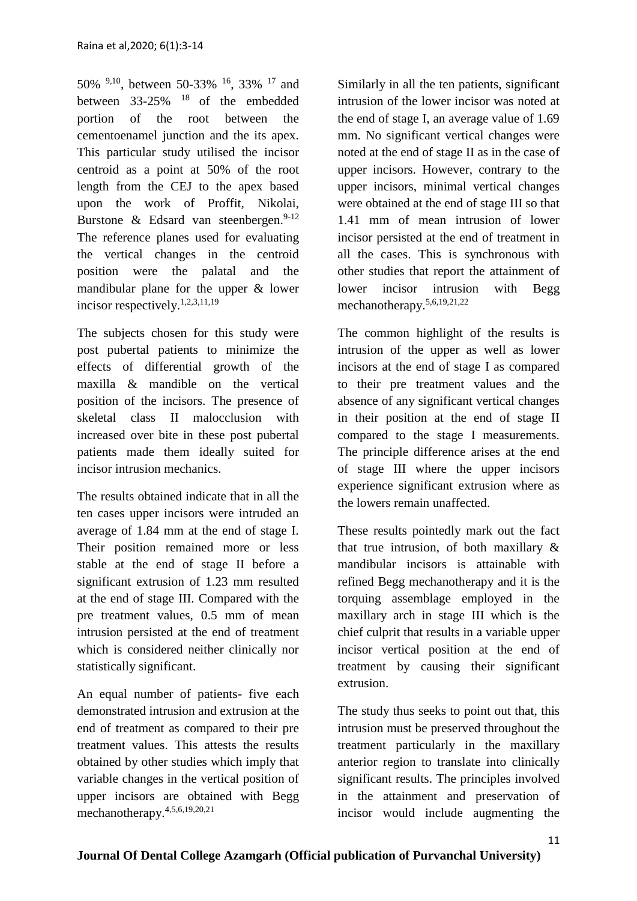50% 9,10, between 50-33% <sup>16</sup>, 33% <sup>17</sup> and between  $33-25\%$  <sup>18</sup> of the embedded portion of the root between the cementoenamel junction and the its apex. This particular study utilised the incisor centroid as a point at 50% of the root length from the CEJ to the apex based upon the work of Proffit, Nikolai, Burstone & Edsard van steenbergen.  $9-12$ The reference planes used for evaluating the vertical changes in the centroid position were the palatal and the mandibular plane for the upper & lower incisor respectively.1,2,3,11,19

The subjects chosen for this study were post pubertal patients to minimize the effects of differential growth of the maxilla & mandible on the vertical position of the incisors. The presence of skeletal class II malocclusion with increased over bite in these post pubertal patients made them ideally suited for incisor intrusion mechanics.

The results obtained indicate that in all the ten cases upper incisors were intruded an average of 1.84 mm at the end of stage I. Their position remained more or less stable at the end of stage II before a significant extrusion of 1.23 mm resulted at the end of stage III. Compared with the pre treatment values, 0.5 mm of mean intrusion persisted at the end of treatment which is considered neither clinically nor statistically significant.

An equal number of patients- five each demonstrated intrusion and extrusion at the end of treatment as compared to their pre treatment values. This attests the results obtained by other studies which imply that variable changes in the vertical position of upper incisors are obtained with Begg mechanotherapy.4,5,6,19,20,21

Similarly in all the ten patients, significant intrusion of the lower incisor was noted at the end of stage I, an average value of 1.69 mm. No significant vertical changes were noted at the end of stage II as in the case of upper incisors. However, contrary to the upper incisors, minimal vertical changes were obtained at the end of stage III so that 1.41 mm of mean intrusion of lower incisor persisted at the end of treatment in all the cases. This is synchronous with other studies that report the attainment of lower incisor intrusion with Begg mechanotherapy.5,6,19,21,22

The common highlight of the results is intrusion of the upper as well as lower incisors at the end of stage I as compared to their pre treatment values and the absence of any significant vertical changes in their position at the end of stage II compared to the stage I measurements. The principle difference arises at the end of stage III where the upper incisors experience significant extrusion where as the lowers remain unaffected.

These results pointedly mark out the fact that true intrusion, of both maxillary & mandibular incisors is attainable with refined Begg mechanotherapy and it is the torquing assemblage employed in the maxillary arch in stage III which is the chief culprit that results in a variable upper incisor vertical position at the end of treatment by causing their significant extrusion.

The study thus seeks to point out that, this intrusion must be preserved throughout the treatment particularly in the maxillary anterior region to translate into clinically significant results. The principles involved in the attainment and preservation of incisor would include augmenting the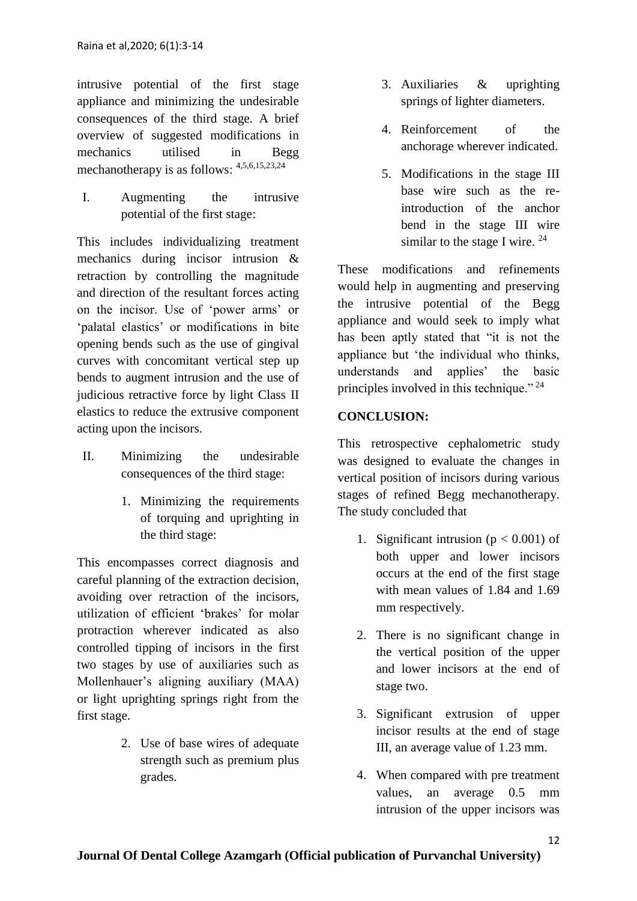intrusive potential of the first stage appliance and minimizing the undesirable consequences of the third stage. A brief overview of suggested modifications in mechanics utilised in Begg mechanotherapy is as follows:  $4,5,6,15,23,24$ 

I. Augmenting the intrusive potential of the first stage:

This includes individualizing treatment mechanics during incisor intrusion & retraction by controlling the magnitude and direction of the resultant forces acting on the incisor. Use of 'power arms' or 'palatal elastics' or modifications in bite opening bends such as the use of gingival curves with concomitant vertical step up bends to augment intrusion and the use of judicious retractive force by light Class II elastics to reduce the extrusive component acting upon the incisors.

- II. Minimizing the undesirable consequences of the third stage:
	- 1. Minimizing the requirements of torquing and uprighting in the third stage:

This encompasses correct diagnosis and careful planning of the extraction decision, avoiding over retraction of the incisors, utilization of efficient 'brakes' for molar protraction wherever indicated as also controlled tipping of incisors in the first two stages by use of auxiliaries such as Mollenhauer's aligning auxiliary (MAA) or light uprighting springs right from the first stage.

> 2. Use of base wires of adequate strength such as premium plus grades.

- 3. Auxiliaries & uprighting springs of lighter diameters.
- 4. Reinforcement of the anchorage wherever indicated.
- 5. Modifications in the stage III base wire such as the reintroduction of the anchor bend in the stage III wire similar to the stage I wire.  $24$

These modifications and refinements would help in augmenting and preserving the intrusive potential of the Begg appliance and would seek to imply what has been aptly stated that "it is not the appliance but 'the individual who thinks, understands and applies' the basic principles involved in this technique."<sup>24</sup>

# **CONCLUSION:**

This retrospective cephalometric study was designed to evaluate the changes in vertical position of incisors during various stages of refined Begg mechanotherapy. The study concluded that

- 1. Significant intrusion ( $p < 0.001$ ) of both upper and lower incisors occurs at the end of the first stage with mean values of 1.84 and 1.69 mm respectively.
- 2. There is no significant change in the vertical position of the upper and lower incisors at the end of stage two.
- 3. Significant extrusion of upper incisor results at the end of stage III, an average value of 1.23 mm.
- 4. When compared with pre treatment values, an average 0.5 mm intrusion of the upper incisors was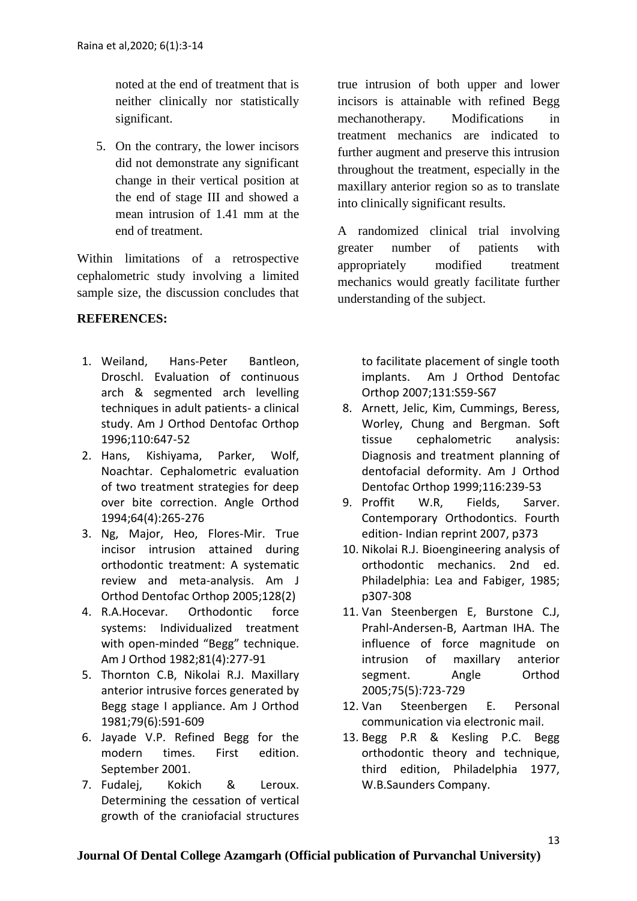noted at the end of treatment that is neither clinically nor statistically significant.

5. On the contrary, the lower incisors did not demonstrate any significant change in their vertical position at the end of stage III and showed a mean intrusion of 1.41 mm at the end of treatment.

Within limitations of a retrospective cephalometric study involving a limited sample size, the discussion concludes that

# **REFERENCES:**

- 1. Weiland, Hans-Peter Bantleon, Droschl. Evaluation of continuous arch & segmented arch levelling techniques in adult patients- a clinical study. Am J Orthod Dentofac Orthop 1996;110:647-52
- 2. Hans, Kishiyama, Parker, Wolf, Noachtar. Cephalometric evaluation of two treatment strategies for deep over bite correction. Angle Orthod 1994;64(4):265-276
- 3. Ng, Major, Heo, Flores-Mir. True incisor intrusion attained during orthodontic treatment: A systematic review and meta-analysis. Am J Orthod Dentofac Orthop 2005;128(2)
- 4. R.A.Hocevar. Orthodontic force systems: Individualized treatment with open-minded "Begg" technique. Am J Orthod 1982;81(4):277-91
- 5. Thornton C.B, Nikolai R.J. Maxillary anterior intrusive forces generated by Begg stage I appliance. Am J Orthod 1981;79(6):591-609
- 6. Jayade V.P. Refined Begg for the modern times. First edition. September 2001.
- 7. Fudalej, Kokich & Leroux. Determining the cessation of vertical growth of the craniofacial structures

true intrusion of both upper and lower incisors is attainable with refined Begg mechanotherapy. Modifications in treatment mechanics are indicated to further augment and preserve this intrusion throughout the treatment, especially in the maxillary anterior region so as to translate into clinically significant results.

A randomized clinical trial involving greater number of patients with appropriately modified treatment mechanics would greatly facilitate further understanding of the subject.

to facilitate placement of single tooth implants. Am J Orthod Dentofac Orthop 2007;131:S59-S67

- 8. Arnett, Jelic, Kim, Cummings, Beress, Worley, Chung and Bergman. Soft tissue cephalometric analysis: Diagnosis and treatment planning of dentofacial deformity. Am J Orthod Dentofac Orthop 1999;116:239-53
- 9. Proffit W.R, Fields, Sarver. Contemporary Orthodontics. Fourth edition- Indian reprint 2007, p373
- 10. Nikolai R.J. Bioengineering analysis of orthodontic mechanics. 2nd ed. Philadelphia: Lea and Fabiger, 1985; p307-308
- 11. Van Steenbergen E, Burstone C.J, Prahl-Andersen-B, Aartman IHA. The influence of force magnitude on intrusion of maxillary anterior segment. Angle Orthod 2005;75(5):723-729
- 12. Van Steenbergen E. Personal communication via electronic mail.
- 13. Begg P.R & Kesling P.C. Begg orthodontic theory and technique, third edition, Philadelphia 1977, W.B.Saunders Company.